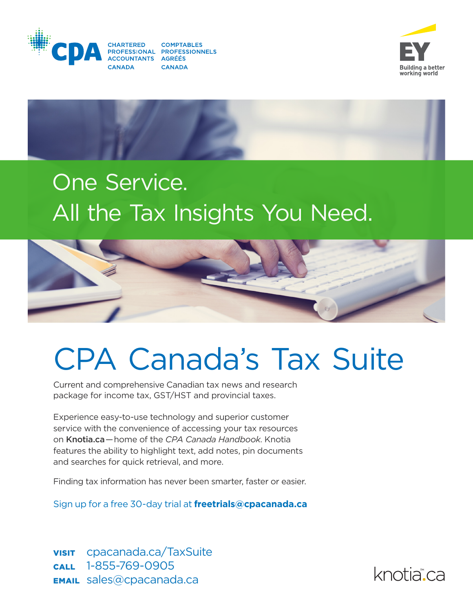





# One Service. One Service. All the Tax Insights You Need. All the Tax Insights You Need.



# CPA Canada's Tax Suite

Current and comprehensive Canadian tax news and research package for income tax, GST/HST and provincial taxes.

Experience easy-to-use technology and superior customer service with the convenience of accessing your tax resources on Knotia.ca — home of the *CPA Canada Handbook*. Knotia features the ability to highlight text, add notes, pin documents and searches for quick retrieval, and more.

Finding tax information has never been smarter, faster or easier.

Sign up for a free 30-day trial at **freetrials@cpacanada.ca**

VISIT cpacanada.ca/TaxSuite CALL 1-855-769-0905 EMAIL sales@cpacanada.ca